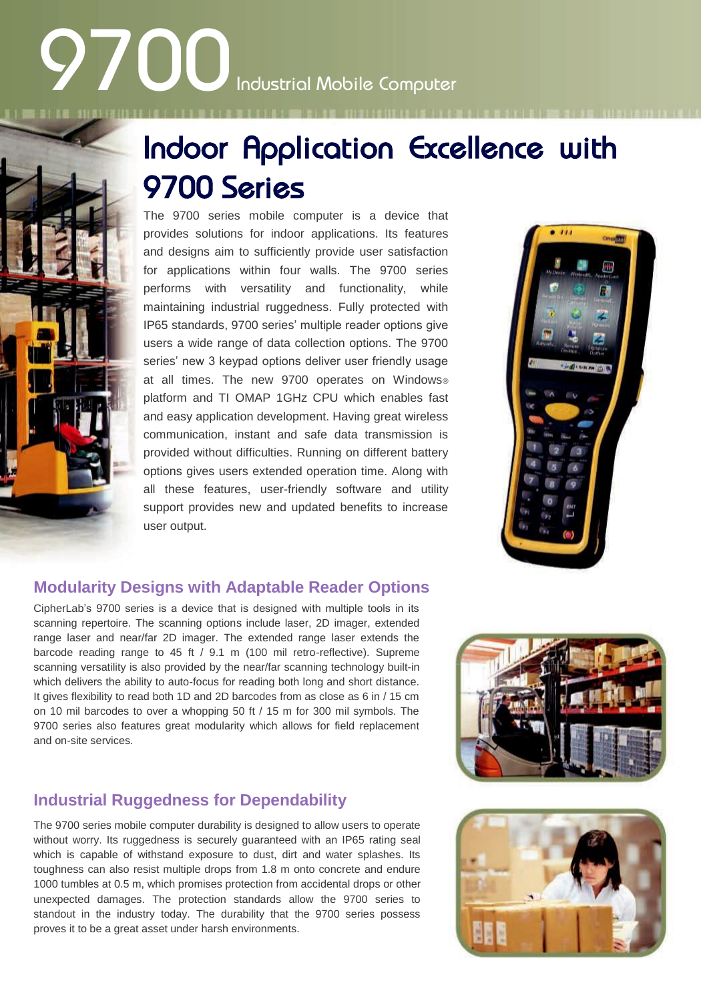# **9700**Industrial Mobile Computer



The 9700 series mobile computer is a device that provides solutions for indoor applications. Its features and designs aim to sufficiently provide user satisfaction for applications within four walls. The 9700 series performs with versatility and functionality, while maintaining industrial ruggedness. Fully protected with IP65 standards, 9700 series' multiple reader options give users a wide range of data collection options. The 9700 series' new 3 keypad options deliver user friendly usage at all times. The new 9700 operates on Windows® platform and TI OMAP 1GHz CPU which enables fast and easy application development. Having great wireless communication, instant and safe data transmission is provided without difficulties. Running on different battery options gives users extended operation time. Along with all these features, user-friendly software and utility support provides new and updated benefits to increase user output.



### **Modularity Designs with Adaptable Reader Options**

CipherLab's 9700 series is a device that is designed with multiple tools in its scanning repertoire. The scanning options include laser, 2D imager, extended range laser and near/far 2D imager. The extended range laser extends the barcode reading range to 45 ft / 9.1 m (100 mil retro-reflective). Supreme scanning versatility is also provided by the near/far scanning technology built-in which delivers the ability to auto-focus for reading both long and short distance. It gives flexibility to read both 1D and 2D barcodes from as close as 6 in / 15 cm on 10 mil barcodes to over a whopping 50 ft / 15 m for 300 mil symbols. The 9700 series also features great modularity which allows for field replacement and on-site services.

### **Industrial Ruggedness for Dependability**

The 9700 series mobile computer durability is designed to allow users to operate without worry. Its ruggedness is securely guaranteed with an IP65 rating seal which is capable of withstand exposure to dust, dirt and water splashes. Its toughness can also resist multiple drops from 1.8 m onto concrete and endure 1000 tumbles at 0.5 m, which promises protection from accidental drops or other unexpected damages. The protection standards allow the 9700 series to standout in the industry today. The durability that the 9700 series possess proves it to be a great asset under harsh environments.



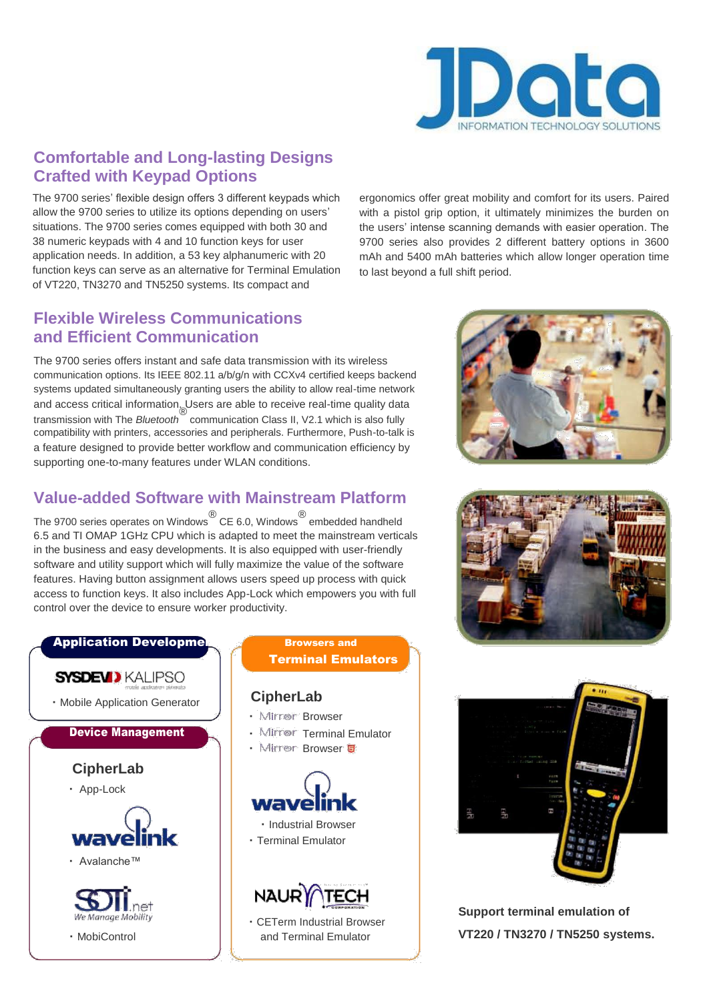

## **Comfortable and Long-lasting Designs Crafted with Keypad Options**

The 9700 series' flexible design offers 3 different keypads which allow the 9700 series to utilize its options depending on users' situations. The 9700 series comes equipped with both 30 and 38 numeric keypads with 4 and 10 function keys for user application needs. In addition, a 53 key alphanumeric with 20 function keys can serve as an alternative for Terminal Emulation of VT220, TN3270 and TN5250 systems. Its compact and

**Flexible Wireless Communications and Efficient Communication**

The 9700 series offers instant and safe data transmission with its wireless communication options. Its IEEE 802.11 a/b/g/n with CCXv4 certified keeps backend systems updated simultaneously granting users the ability to allow real-time network and access critical information. Users are able to receive real-time quality data transmission with The *Bluetooth ®* communication Class II, V2.1 which is also fully compatibility with printers, accessories and peripherals. Furthermore, Push-to-talk is a feature designed to provide better workflow and communication efficiency by supporting one-to-many features under WLAN conditions.

### **Value-added Software with Mainstream Platform**

The 9700 series operates on Windows ® CE 6.0, Windows ® embedded handheld 6.5 and TI OMAP 1GHz CPU which is adapted to meet the mainstream verticals in the business and easy developments. It is also equipped with user-friendly software and utility support which will fully maximize the value of the software features. Having button assignment allows users speed up process with quick access to function keys. It also includes App-Lock which empowers you with full control over the device to ensure worker productivity.



ergonomics offer great mobility and comfort for its users. Paired with a pistol grip option, it ultimately minimizes the burden on the users' intense scanning demands with easier operation. The 9700 series also provides 2 different battery options in 3600 mAh and 5400 mAh batteries which allow longer operation time to last beyond a full shift period.







**Support terminal emulation of VT220 / TN3270 / TN5250 systems.**